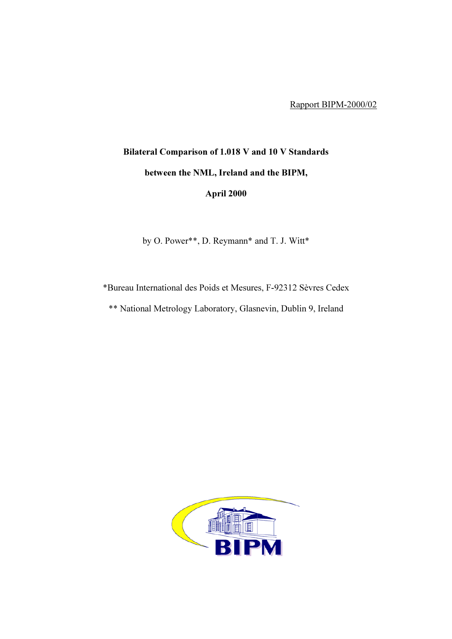Rapport BIPM-2000/02

## Bilateral Comparison of 1.018 V and 10 V Standards between the NML, Ireland and the BIPM, April 2000

by O. Power\*\*, D. Reymann\* and T. J. Witt\*

\*Bureau International des Poids et Mesures, F-92312 Sèvres Cedex

\*\* National Metrology Laboratory, Glasnevin, Dublin 9, Ireland

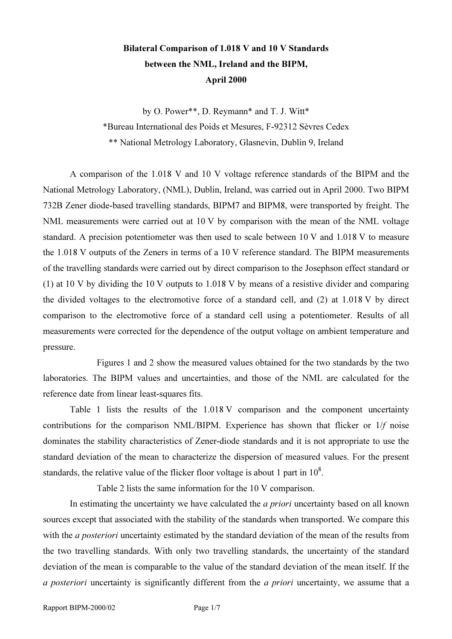## Bilateral Comparison of 1.018 V and 10 V Standards between the NML, Ireland and the BIPM, April 2000

by O. Power\*\*, D. Reymann\* and T. J. Witt\* \*Bureau International des Poids et Mesures, F-92312 Sèvres Cedex \*\* National Metrology Laboratory, Glasnevin, Dublin 9, Ireland

A comparison of the 1.018 V and 10 V voltage reference standards of the BIPM and the National Metrology Laboratory, (NML), Dublin, Ireland, was carried out in April 2000. Two BIPM 732B Zener diode-based travelling standards, BIPM7 and BIPM8, were transported by freight. The NML measurements were carried out at 10 V by comparison with the mean of the NML voltage standard. A precision potentiometer was then used to scale between 10 V and 1.018 V to measure the 1.018 V outputs of the Zeners in terms of a 10 V reference standard. The BIPM measurements of the travelling standards were carried out by direct comparison to the Josephson effect standard or (1) at 10 V by dividing the 10 V outputs to 1.018 V by means of a resistive divider and comparing the divided voltages to the electromotive force of a standard cell, and (2) at 1.018 V by direct comparison to the electromotive force of a standard cell using a potentiometer. Results of all measurements were corrected for the dependence of the output voltage on ambient temperature and pressure.

Figures 1 and 2 show the measured values obtained for the two standards by the two laboratories. The BIPM values and uncertainties, and those of the NML are calculated for the reference date from linear least-squares fits.

Table 1 lists the results of the 1.018 V comparison and the component uncertainty contributions for the comparison NML/BIPM. Experience has shown that flicker or 1/f noise dominates the stability characteristics of Zener-diode standards and it is not appropriate to use the standard deviation of the mean to characterize the dispersion of measured values. For the present standards, the relative value of the flicker floor voltage is about 1 part in  $10^8$ .

Table 2 lists the same information for the 10 V comparison.

In estimating the uncertainty we have calculated the *a priori* uncertainty based on all known sources except that associated with the stability of the standards when transported. We compare this with the *a posteriori* uncertainty estimated by the standard deviation of the mean of the results from the two travelling standards. With only two travelling standards, the uncertainty of the standard deviation of the mean is comparable to the value of the standard deviation of the mean itself. If the a posteriori uncertainty is significantly different from the a priori uncertainty, we assume that a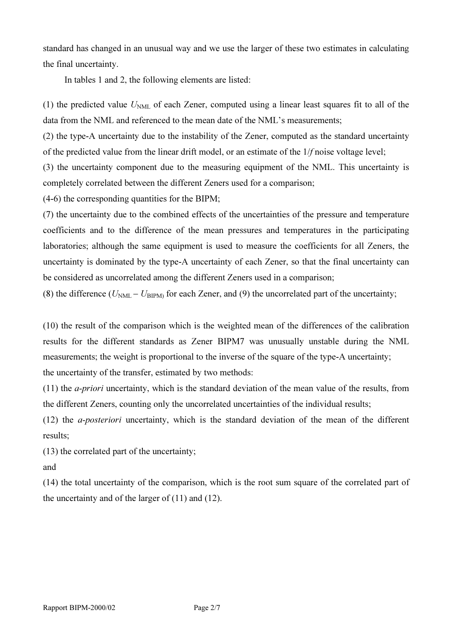standard has changed in an unusual way and we use the larger of these two estimates in calculating the final uncertainty.

In tables 1 and 2, the following elements are listed:

(1) the predicted value  $U<sub>NML</sub>$  of each Zener, computed using a linear least squares fit to all of the data from the NML and referenced to the mean date of the NML's measurements;

(2) the type-A uncertainty due to the instability of the Zener, computed as the standard uncertainty of the predicted value from the linear drift model, or an estimate of the 1/f noise voltage level;

(3) the uncertainty component due to the measuring equipment of the NML. This uncertainty is completely correlated between the different Zeners used for a comparison;

(4-6) the corresponding quantities for the BIPM;

(7) the uncertainty due to the combined effects of the uncertainties of the pressure and temperature coefficients and to the difference of the mean pressures and temperatures in the participating laboratories; although the same equipment is used to measure the coefficients for all Zeners, the uncertainty is dominated by the type-A uncertainty of each Zener, so that the final uncertainty can be considered as uncorrelated among the different Zeners used in a comparison;

(8) the difference ( $U_{\text{NML}} - U_{\text{BIPM}}$ ) for each Zener, and (9) the uncorrelated part of the uncertainty;

(10) the result of the comparison which is the weighted mean of the differences of the calibration results for the different standards as Zener BIPM7 was unusually unstable during the NML measurements; the weight is proportional to the inverse of the square of the type-A uncertainty; the uncertainty of the transfer, estimated by two methods:

(11) the a-priori uncertainty, which is the standard deviation of the mean value of the results, from the different Zeners, counting only the uncorrelated uncertainties of the individual results;

(12) the a-posteriori uncertainty, which is the standard deviation of the mean of the different results;

(13) the correlated part of the uncertainty;

and

(14) the total uncertainty of the comparison, which is the root sum square of the correlated part of the uncertainty and of the larger of (11) and (12).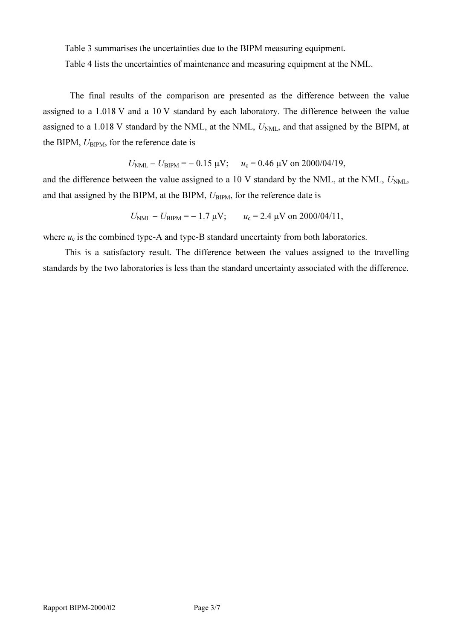Table 3 summarises the uncertainties due to the BIPM measuring equipment.

Table 4 lists the uncertainties of maintenance and measuring equipment at the NML.

The final results of the comparison are presented as the difference between the value assigned to a 1.018 V and a 10 V standard by each laboratory. The difference between the value assigned to a 1.018 V standard by the NML, at the NML,  $U<sub>NML</sub>$ , and that assigned by the BIPM, at the BIPM,  $U_{\text{BIPM}}$ , for the reference date is

$$
U_{\text{NML}} - U_{\text{BIPM}} = -0.15 \text{ }\mu\text{V}; \quad u_c = 0.46 \text{ }\mu\text{V on } 2000/04/19,
$$

and the difference between the value assigned to a 10 V standard by the NML, at the NML,  $U_{NML}$ , and that assigned by the BIPM, at the BIPM,  $U_{\text{BIPM}}$ , for the reference date is

$$
U_{\text{NML}} - U_{\text{BIPM}} = -1.7 \text{ }\mu\text{V};
$$
  $u_c = 2.4 \text{ }\mu\text{V on } 2000/04/11,$ 

where  $u_c$  is the combined type-A and type-B standard uncertainty from both laboratories.

This is a satisfactory result. The difference between the values assigned to the travelling standards by the two laboratories is less than the standard uncertainty associated with the difference.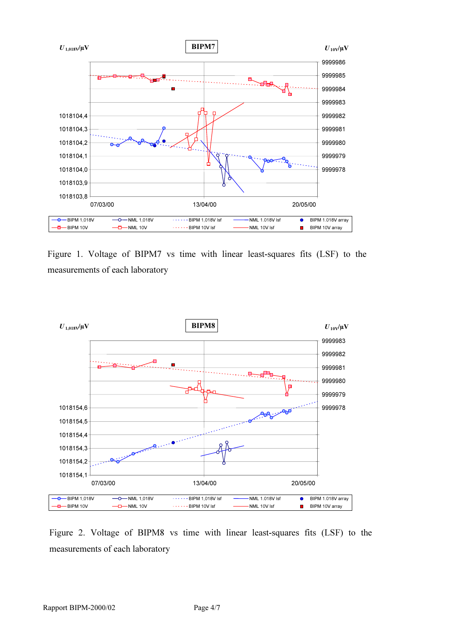

Figure 1. Voltage of BIPM7 vs time with linear least-squares fits (LSF) to the measurements of each laboratory



Figure 2. Voltage of BIPM8 vs time with linear least-squares fits (LSF) to the measurements of each laboratory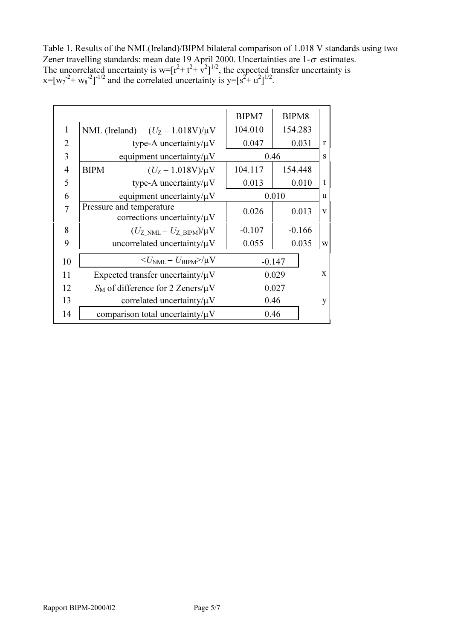Table 1. Results of the NML(Ireland)/BIPM bilateral comparison of 1.018 V standards using two Zener travelling standards: mean date 19 April 2000. Uncertainties are  $1-\sigma$  estimates. The uncorrelated uncertainty is  $w = [r^2 + t^2 + \nu^2]^{1/2}$ , the expected transfer uncertainty is  $x=[w_7^2+w_8^2]^{-1/2}$  and the correlated uncertainty is  $y=[s^2+w^2]^{1/2}$ .

|                |                                                              | BIPM7    | BIPM8    |              |
|----------------|--------------------------------------------------------------|----------|----------|--------------|
| 1              | NML (Ireland) $(U_Z - 1.018V)/\mu V$                         | 104.010  | 154.283  |              |
| $\overline{2}$ | type-A uncertainty/ $\mu$ V                                  | 0.047    | 0.031    | $\mathbf{r}$ |
| 3              | equipment uncertainty/ $\mu$ V                               |          | 0.46     |              |
| $\overline{4}$ | <b>BIPM</b><br>$(U_Z - 1.018V)/\mu V$                        | 104.117  | 154.448  |              |
| 5              | type-A uncertainty/ $\mu$ V                                  | 0.013    | 0.010    | t            |
| 6              | equipment uncertainty/ $\mu$ V                               | 0.010    |          | u            |
| 7              | Pressure and temperature<br>corrections uncertainty/ $\mu$ V | 0.026    | 0.013    | $\mathbf{V}$ |
| 8              | $(U_{Z>NML}-U_{ZBIPM})/\mu V$                                | $-0.107$ | $-0.166$ |              |
| 9              | uncorrelated uncertainty/ $\mu$ V                            | 0.055    | 0.035    | W            |
| 10             | $\langle U_{\rm NML} - U_{\rm BIPM} \rangle / \mu V$         |          | $-0.147$ |              |
| 11             | Expected transfer uncertainty/ $\mu$ V                       |          | 0.029    | $\mathbf x$  |
| 12             | $S_M$ of difference for 2 Zeners/ $\mu$ V                    |          | 0.027    |              |
| 13             | correlated uncertainty/ $\mu$ V                              | 0.46     |          | y            |
| 14             | comparison total uncertainty/ $\mu$ V                        | 0.46     |          |              |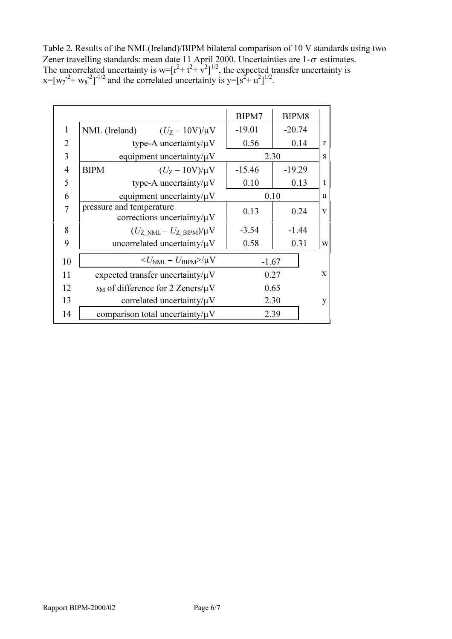Table 2. Results of the NML(Ireland)/BIPM bilateral comparison of 10 V standards using two Zener travelling standards: mean date 11 April 2000. Uncertainties are  $1-\sigma$  estimates. The uncorrelated uncertainty is  $w = [r^2 + t^2 + \nu^2]^{1/2}$ , the expected transfer uncertainty is  $x=[w_7^2+w_8^2]^{-1/2}$  and the correlated uncertainty is  $y=[s^2+w^2]^{1/2}$ .

|                |                                                              | BIPM7    | BIPM8    |              |
|----------------|--------------------------------------------------------------|----------|----------|--------------|
| $\mathbf{1}$   | NML (Ireland)<br>$(U_Z - 10V)/\mu V$                         | $-19.01$ | $-20.74$ |              |
| $\overline{2}$ | type-A uncertainty/ $\mu$ V                                  | 0.56     | 0.14     | r            |
| 3              | equipment uncertainty/ $\mu$ V                               | 2.30     |          | S            |
| $\overline{4}$ | <b>BIPM</b><br>$(U_{Z} - 10V)/\mu V$                         | $-15.46$ | $-19.29$ |              |
| 5              | type-A uncertainty/ $\mu$ V                                  | 0.10     | 0.13     | t            |
| 6              | equipment uncertainty/ $\mu$ V                               | 0.10     |          | u            |
| 7              | pressure and temperature<br>corrections uncertainty/ $\mu$ V | 0.13     | 0.24     | V            |
| 8              | $(U_{Z>NML}-U_{Z-BIPM})/\mu V$                               | $-3.54$  | $-1.44$  |              |
| 9              | uncorrelated uncertainty/ $\mu$ V                            | 0.58     | 0.31     | W            |
| 10             | $\langle U_{\rm NML} - U_{\rm RIPM} \rangle / \mu V$         | $-1.67$  |          |              |
| 11             | expected transfer uncertainty/ $\mu$ V                       | 0.27     |          | $\mathbf{x}$ |
| 12             | $s_M$ of difference for 2 Zeners/ $\mu$ V                    | 0.65     |          |              |
| 13             | correlated uncertainty/ $\mu$ V                              | 2.30     |          | V            |
| 14             | comparison total uncertainty/ $\mu$ V                        |          | 2.39     |              |
|                |                                                              |          |          |              |